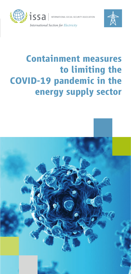



# **Containment measures to limiting the COVID-19 pandemic in the energy supply sector**

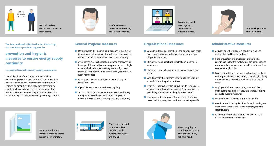

Maintain safety distance of 1.5 metres from others.



If safety distance cannot be maintained, wear a face covering.



Replace personal meetings by telephone and videoconference.



Only touch your face with clean hands.

**The International ISSA Section for Electricity, Gas and Water provides support for**

## **prevention and hygienic measures to ensure energy supply continuity**

#### **in cooperation with energy supply companies.**

The implications of the coronavirus pandemic on operational procedures are huge. The listed prevention measures describe basic requirements and thus do not claim to be exhaustive. They may vary according to country and company and can be complemented by further measures. However, they should be taken into account in any case when developing a strategic concept.

# General hygiene measures

- $\blacksquare$  Main principle: Keep a minimum distance of 1.5 metres in buildings, in the open and in vehicles. If the physical distance cannot be maintained, wear a face covering
- $\blacksquare$  Avoid direct, close collaboration between employees as far as possible and adjust working processes accordingly. Avoid shake hands when meeting, countersign documents, like for example time sheets, with your own or a clean writing tool
- $\blacksquare$  Wash your hands regularly with water and soap for at least 20 seconds
- $\blacksquare$  If possible, ventilate the work area regularly
- $\blacksquare$  Set up conduct recommendations on health and safety through enhanced hygiene measures and provide relevant information (e.g. through posters, see Annex)

# Organisational measures

- **n** Arrange as far as possible the option to work from home for employees (in particular for employees who have stayed in risk areas)
- $\blacksquare$  Replace personal meetings by telephone- and videoconference
- $\blacksquare$  Cancel or reschedule internal/external conferences and events
- $\blacksquare$  Avoid nonessential business travelling to the absolute essential for upkeep of operations
- $\blacksquare$  Limit close contact services with clients to the absolute essential for upkeep of the business (e.g. examine the possibility of customer reading their own meter)
- $\blacksquare$  Employees with symptoms of respiratory infection or fever shall stay away from work and contact a physician



- $\blacksquare$  Activate, adjust or prepare a pandemic plan and instruct the workforce accordingly
- $\blacksquare$  Build prevention and crisis response units who analise and follow the evolution of the pandemic and coordinate internal measures in collaboration with an occupational physician
- $\blacksquare$  Issue certificates for employees with responsibility in critical procedures at the site (e.g. special right of way for employees and service providers with essential tasks)
- $\blacksquare$  Employee shall use own working tools and clean them before passing on. If tools are shared, observe adequate hygiene measures
- $\blacksquare$  Ensure frequent cleaning of sanitary facilities
- $\blacksquare$  Coordinate with testing facilities for rapid testing and quick conveyance of the results of employees with essential tasks
- **n** Extend canteen service times to manage peaks, if necessary consider canteen closure



Regular ventilation! Ventilate working rooms hourly for 10 minutes.



When using bus and train wear a face covering. Avoid overcrowded buses and trains.



When coughing or sneezing use a tissue or the inner elbow, not your hand.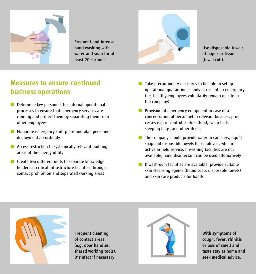

Frequent and intense hand washing with water and soap for at least 20 seconds.



Use disposable towels of paper or tissue (towel roll).

### Measures to ensure continued business operations

- $\blacksquare$  Determine key personnel for internal operational processes to ensure that emergency services are running and protect them by separating them from other employees
- $\blacksquare$  Elaborate emergency shift plans and plan personnel deployment accordingly
- $\blacksquare$  Access restriction to systemically relevant building areas of the energy utility
- $\blacksquare$  Create two different units to separate knowledge holders at critical infrastructure facilities through contact prohibition and separated working areas
- $\blacksquare$  Take precautionary measures to be able to set up operational quarantine islands in case of an emergency (i.e. healthy employees voluntarily remain on site in the company)
- **n** Provision of emergency equipment in case of a concentration of personnel in relevant business processes e.g. in control centres (food, camp beds, sleeping bags, and other items)
- $\blacksquare$  The company should provide water in canisters, liquid soap and disposable towels for employees who are active in field service. If washing facilities are not available, hand disinfectant can be used alternatively
- $\blacksquare$  If washroom facilities are available, provide suitable skin cleansing agents (liquid soap, disposable towels) and skin care products for hands



Frequent cleaning of contact areas (e.g. door handles, shared working tools). Disinfect if necessary.



With symptoms of cough, fever, rhinitis or loss of smell and taste stay at home and seek medical advice.